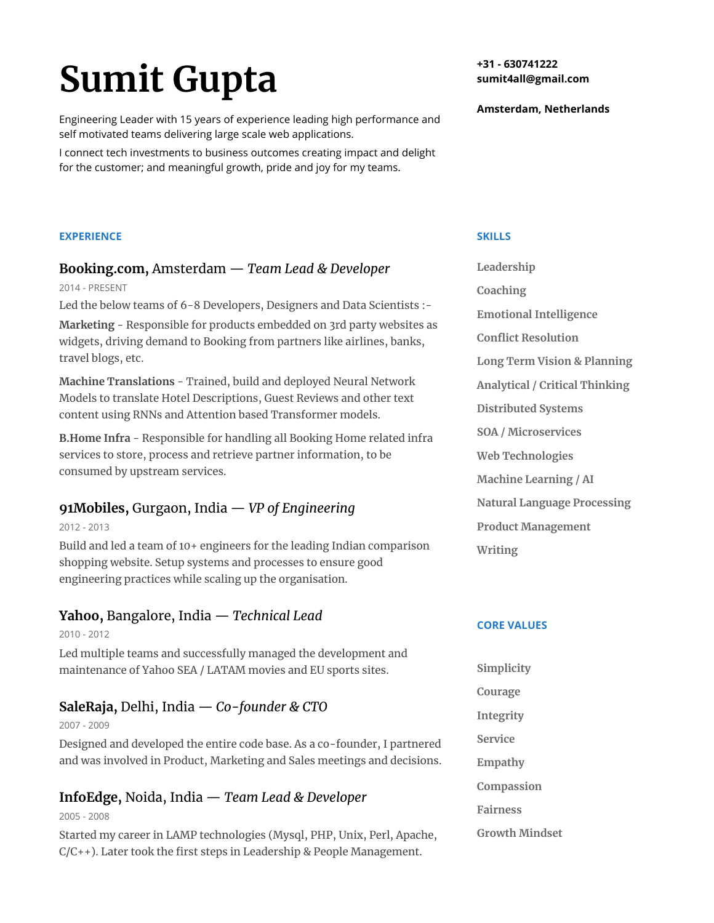# **Sumit Gupta**

Engineering Leader with 15 years of experience leading high performance and self motivated teams delivering large scale web applications.

I connect tech investments to business outcomes creating impact and delight for the customer; and meaningful growth, pride and joy for my teams.

**EXPERIENCE** 

## **Booking.com,** Amsterdam — *Team Lead & Developer*

2014 - PRESENT

Led the below teams of 6-8 Developers, Designers and Data Scientists :-

**Marketing** - Responsible for products embedded on 3rd party websites as widgets, driving demand to Booking from partners like airlines, banks, travel blogs, etc.

**Machine Translations** - Trained, build and deployed Neural Network Models to translate Hotel Descriptions, Guest Reviews and other text content using RNNs and Attention based Transformer models.

**B.Home Infra** - Responsible for handling all Booking Home related infra services to store, process and retrieve partner information, to be consumed by upstream services.

# **91Mobiles,** Gurgaon, India — *VP of Engineering*

2012 - 2013

Build and led a team of 10+ engineers for the leading Indian comparison shopping website. Setup systems and processes to ensure good engineering practices while scaling up the organisation.

# **Yahoo,** Bangalore, India — *Technical Lead*

2010 - 2012 Led multiple teams and successfully managed the development and maintenance of Yahoo SEA / LATAM movies and EU sports sites.

# **SaleRaja,** Delhi, India — *Co-founder & CTO*

2007 - 2009

Designed and developed the entire code base. As a co-founder, I partnered and was involved in Product, Marketing and Sales meetings and decisions.

# **InfoEdge,** Noida, India — *Team Lead & Developer*

2005 - 2008

Started my career in LAMP technologies (Mysql, PHP, Unix, Perl, Apache, C/C++). Later took the first steps in Leadership & People Management.

**+31 - 630741222 sumit4all@gmail.com** 

**Amsterdam, Netherlands** 

**SKILLS** 

**Leadership Coaching Emotional Intelligence Conflict Resolution Long Term Vision & Planning Analytical / Critical Thinking Distributed Systems SOA / Microservices Web Technologies Machine Learning / AI Natural Language Processing Product Management Writing**

## **CORE VALUES**

**Simplicity Courage Integrity Service Empathy Compassion Fairness Growth Mindset**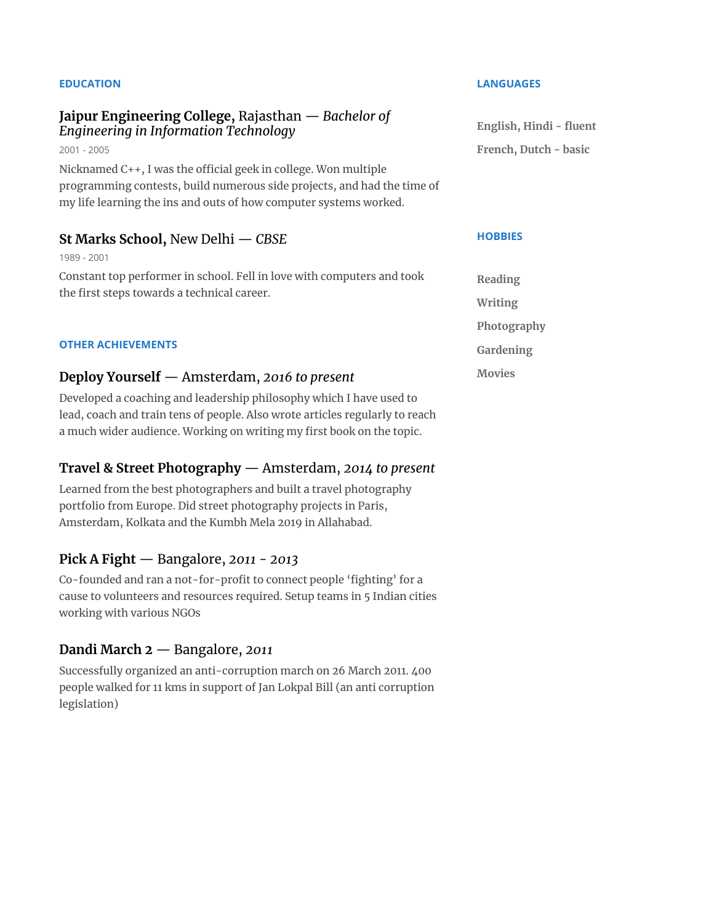#### **EDUCATION**

#### **Jaipur Engineering College,** Rajasthan — *Bachelor of Engineering in Information Technology*

2001 - 2005 Nicknamed  $C_{++}$ , I was the official geek in college. Won multiple programming contests, build numerous side projects, and had the time of my life learning the ins and outs of how computer systems worked.

#### **St Marks School,** New Delhi — *CBSE*

1989 - 2001

Constant top performer in school. Fell in love with computers and took the first steps towards a technical career.

#### **OTHER ACHIEVEMENTS**

#### **Deploy Yourself** — Amsterdam, *2016 to present*

Developed a coaching and leadership philosophy which I have used to lead, coach and train tens of people. Also wrote articles regularly to reach a much wider audience. Working on writing my first book on the topic.

## **Travel & Street Photography** — Amsterdam, *2014 to present*

Learned from the best photographers and built a travel photography portfolio from Europe. Did street photography projects in Paris, Amsterdam, Kolkata and the Kumbh Mela 2019 in Allahabad.

#### **Pick A Fight** — Bangalore, *2011 - 2013*

Co-founded and ran a not-for-profit to connect people 'fighting' for a cause to volunteers and resources required. Setup teams in 5 Indian cities working with various NGOs

## **Dandi March 2** — Bangalore, *2011*

Successfully organized an anti-corruption march on 26 March 2011. 400 people walked for 11 kms in support of Jan Lokpal Bill (an anti corruption legislation)

#### **LANGUAGES**

**English, Hindi - fluent French, Dutch - basic**

#### **HOBBIES**

**Reading Writing Photography Gardening Movies**